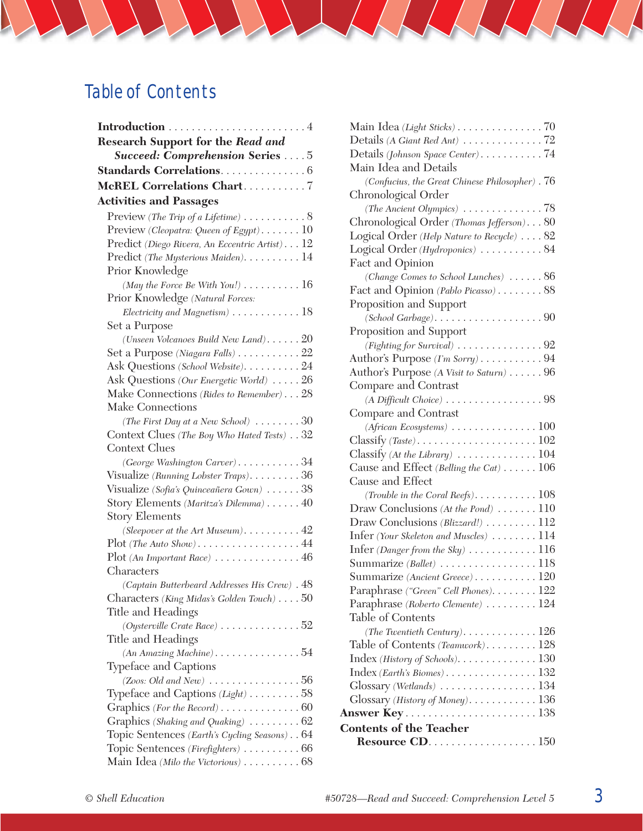# Table of Contents

| <b>Research Support for the Read and</b>                                         |  |
|----------------------------------------------------------------------------------|--|
| <b>Succeed: Comprehension Series5</b>                                            |  |
| Standards Correlations. 6                                                        |  |
| <b>McREL Correlations Chart</b> 7                                                |  |
| <b>Activities and Passages</b>                                                   |  |
| Preview (The Trip of a Lifetime) $\dots\dots\dots 8$                             |  |
| Preview (Cleopatra: Queen of Egypt) 10                                           |  |
| Predict (Diego Rivera, An Eccentric Artist) $12$                                 |  |
| Predict (The Mysterious Maiden). $\dots \dots \dots 14$                          |  |
| Prior Knowledge                                                                  |  |
| (May the Force Be With You!) $\dots \dots \dots 16$                              |  |
| Prior Knowledge (Natural Forces:                                                 |  |
| Electricity and Magnetism) $\dots\dots\dots\dots 18$                             |  |
| Set a Purpose                                                                    |  |
| (Unseen Volcanoes Build New Land) $20$                                           |  |
| Set a Purpose (Niagara Falls) $\ldots \ldots \ldots 22$                          |  |
| Ask Questions (School Website). 24                                               |  |
| Ask Questions (Our Energetic World)  26                                          |  |
| Make Connections (Rides to Remember)28                                           |  |
| Make Connections                                                                 |  |
| (The First Day at a New School) $\dots \dots 30$                                 |  |
| Context Clues (The Boy Who Hated Tests). 32                                      |  |
| <b>Context Clues</b>                                                             |  |
| (George Washington Carver)34                                                     |  |
| Visualize (Running Lobster Traps)36                                              |  |
| Visualize (Sofia's Quinceañera Gown) 38<br>Story Elements (Maritza's Dilemma) 40 |  |
| <b>Story Elements</b>                                                            |  |
| (Sleepover at the Art Museum) $42$                                               |  |
| $Plot (The Auto Show) \ldots \ldots \ldots \ldots \ldots \ldots 44$              |  |
|                                                                                  |  |
| Characters                                                                       |  |
| (Captain Butterbeard Addresses His Crew). 48                                     |  |
| Characters (King Midas's Golden Touch) 50                                        |  |
| Title and Headings                                                               |  |
| (Oysterville Crate Race) $\ldots \ldots \ldots \ldots 52$                        |  |
| Title and Headings                                                               |  |
| $(An\, Amaxing\, Machine) \ldots \ldots \ldots \ldots \ldots 54$                 |  |
| <b>Typeface and Captions</b>                                                     |  |
| $(Zoos: Old and New) \dots \dots \dots \dots \dots \dots 56$                     |  |
| Typeface and Captions $(Light) \dots \dots \dots 58$                             |  |
| Graphics (For the Record) $\dots \dots \dots \dots \dots 60$                     |  |
| Graphics (Shaking and Quaking)  62                                               |  |
| Topic Sentences (Earth's Cycling Seasons). . 64                                  |  |
| Topic Sentences (Firefighters)  66                                               |  |
| Main Idea (Milo the Victorious) 68                                               |  |

| Main Idea ( <i>Light Sticks</i> ) $\ldots \ldots \ldots \ldots \ldots$ . 70 |  |
|-----------------------------------------------------------------------------|--|
| Details (A Giant Red Ant) $\ldots \ldots \ldots \ldots \ldots$ 72           |  |
|                                                                             |  |
| Main Idea and Details                                                       |  |
| (Confucius, the Great Chinese Philosopher). 76                              |  |
| Chronological Order                                                         |  |
| (The Ancient Olympics) $\dots \dots \dots \dots \dots 78$                   |  |
| Chronological Order (Thomas Jefferson)80                                    |  |
| Logical Order (Help Nature to Recycle) 82                                   |  |
| Logical Order (Hydroponics) $\dots \dots \dots 84$                          |  |
| Fact and Opinion                                                            |  |
| (Change Comes to School Lunches)  86                                        |  |
| Fact and Opinion (Pablo Picasso)88                                          |  |
| Proposition and Support                                                     |  |
|                                                                             |  |
| Proposition and Support                                                     |  |
| (Fighting for Survival) $\ldots \ldots \ldots \ldots \ldots 92$             |  |
|                                                                             |  |
| Author's Purpose (A Visit to Saturn) 96                                     |  |
| Compare and Contrast                                                        |  |
| $(A\text{ Difficult Choice}) \dots \dots \dots \dots \dots \dots 98$        |  |
| Compare and Contrast                                                        |  |
| $(African\ Ecosystems) \dots \dots \dots \dots \dots \dots 100$             |  |
| Classify $(Taste) \dots \dots \dots \dots \dots \dots \dots 102$            |  |
| Classify (At the Library) $\dots \dots \dots \dots \dots 104$               |  |
| Cause and Effect (Belling the Cat) 106                                      |  |
| Cause and Effect                                                            |  |
|                                                                             |  |
| Draw Conclusions (At the Pond) $\dots \dots 110$                            |  |
| Draw Conclusions (Blizzard!) 112                                            |  |
| Infer (Your Skeleton and Muscles) $\dots \dots \dots 114$                   |  |
| Infer (Danger from the Sky) $\dots \dots \dots \dots 116$                   |  |
|                                                                             |  |
| Summarize (Ancient Greece)120                                               |  |
| Paraphrase ("Green" Cell Phones). 122                                       |  |
| Paraphrase (Roberto Clemente)  124                                          |  |
| Table of Contents                                                           |  |
|                                                                             |  |
| Table of Contents (Teamwork) 128                                            |  |
| $Index$ (History of Schools). 130                                           |  |
| $Index (Earth's \, Biomes) \dots \dots \dots \dots \dots \dots \dots 132$   |  |
| Glossary (Wetlands)  134                                                    |  |
| Glossary (History of Money)136                                              |  |
|                                                                             |  |
| <b>Contents of the Teacher</b>                                              |  |
| Resource CD. 150                                                            |  |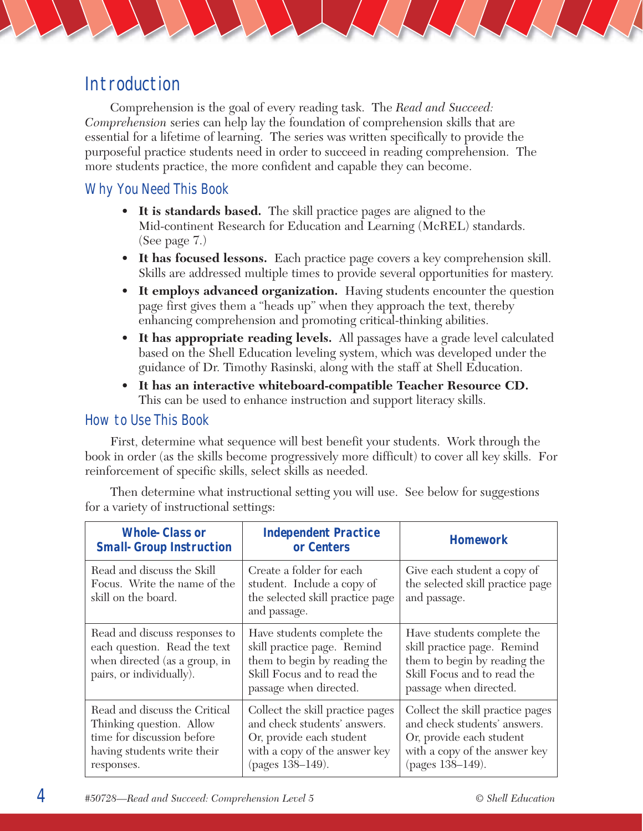## **Introduction**

Comprehension is the goal of every reading task. The *Read and Succeed: Comprehension* series can help lay the foundation of comprehension skills that are essential for a lifetime of learning. The series was written specifically to provide the purposeful practice students need in order to succeed in reading comprehension. The more students practice, the more confident and capable they can become.

### Why You Need This Book

- **It is standards based.** The skill practice pages are aligned to the Mid-continent Research for Education and Learning (McREL) standards. (See page 7.)
- **It has focused lessons.** Each practice page covers a key comprehension skill. Skills are addressed multiple times to provide several opportunities for mastery.
- It employs advanced organization. Having students encounter the question page first gives them a "heads up" when they approach the text, thereby enhancing comprehension and promoting critical-thinking abilities.
- **It has appropriate reading levels.** All passages have a grade level calculated based on the Shell Education leveling system, which was developed under the guidance of Dr. Timothy Rasinski, along with the staff at Shell Education.
- • **It has an interactive whiteboard-compatible Teacher Resource CD.**  This can be used to enhance instruction and support literacy skills.

### How to Use This Book

First, determine what sequence will best benefit your students. Work through the book in order (as the skills become progressively more difficult) to cover all key skills. For reinforcement of specific skills, select skills as needed.

| <b>Whole-Class or</b><br><b>Small-Group Instruction</b>                                                                              | <b>Independent Practice</b><br>or Centers                                                                                                          | <b>Homework</b>                                                                                                                                     |
|--------------------------------------------------------------------------------------------------------------------------------------|----------------------------------------------------------------------------------------------------------------------------------------------------|-----------------------------------------------------------------------------------------------------------------------------------------------------|
| Read and discuss the Skill<br>Focus. Write the name of the<br>skill on the board.                                                    | Create a folder for each<br>student. Include a copy of<br>the selected skill practice page<br>and passage.                                         | Give each student a copy of<br>the selected skill practice page<br>and passage.                                                                     |
| Read and discuss responses to<br>each question. Read the text<br>when directed (as a group, in<br>pairs, or individually).           | Have students complete the<br>skill practice page. Remind<br>them to begin by reading the<br>Skill Focus and to read the<br>passage when directed. | Have students complete the<br>skill practice page. Remind<br>them to begin by reading the<br>Skill Focus and to read the<br>passage when directed.  |
| Read and discuss the Critical<br>Thinking question. Allow<br>time for discussion before<br>having students write their<br>responses. | Collect the skill practice pages<br>and check students' answers.<br>Or, provide each student<br>with a copy of the answer key<br>(pages 138–149).  | Collect the skill practice pages<br>and check students' answers.<br>Or, provide each student<br>with a copy of the answer key<br>$(pages 138-149).$ |

Then determine what instructional setting you will use. See below for suggestions for a variety of instructional settings: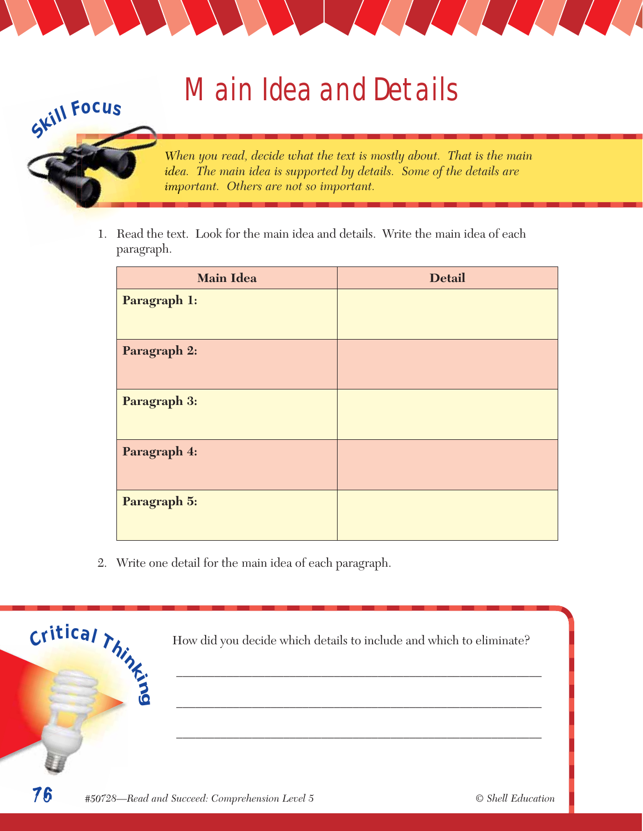# **Main Idea and Details**

*When you read, decide what the text is mostly about. That is the main idea. The main idea is supported by details. Some of the details are important. Others are not so important.*

 1. Read the text. Look for the main idea and details. Write the main idea of each paragraph.

| <b>Main Idea</b> | <b>Detail</b> |
|------------------|---------------|
| Paragraph 1:     |               |
| Paragraph 2:     |               |
| Paragraph 3:     |               |
| Paragraph 4:     |               |
| Paragraph 5:     |               |

2. Write one detail for the main idea of each paragraph.



Skil<sup>l</sup> <sup>F</sup>ocu<sup>s</sup>

How did you decide which details to include and which to eliminate?

\_\_\_\_\_\_\_\_\_\_\_\_\_\_\_\_\_\_\_\_\_\_\_\_\_\_\_\_\_\_\_\_\_\_\_\_\_\_\_\_\_\_\_\_\_\_\_\_\_\_\_\_\_\_\_\_\_\_

\_\_\_\_\_\_\_\_\_\_\_\_\_\_\_\_\_\_\_\_\_\_\_\_\_\_\_\_\_\_\_\_\_\_\_\_\_\_\_\_\_\_\_\_\_\_\_\_\_\_\_\_\_\_\_\_\_\_

\_\_\_\_\_\_\_\_\_\_\_\_\_\_\_\_\_\_\_\_\_\_\_\_\_\_\_\_\_\_\_\_\_\_\_\_\_\_\_\_\_\_\_\_\_\_\_\_\_\_\_\_\_\_\_\_\_\_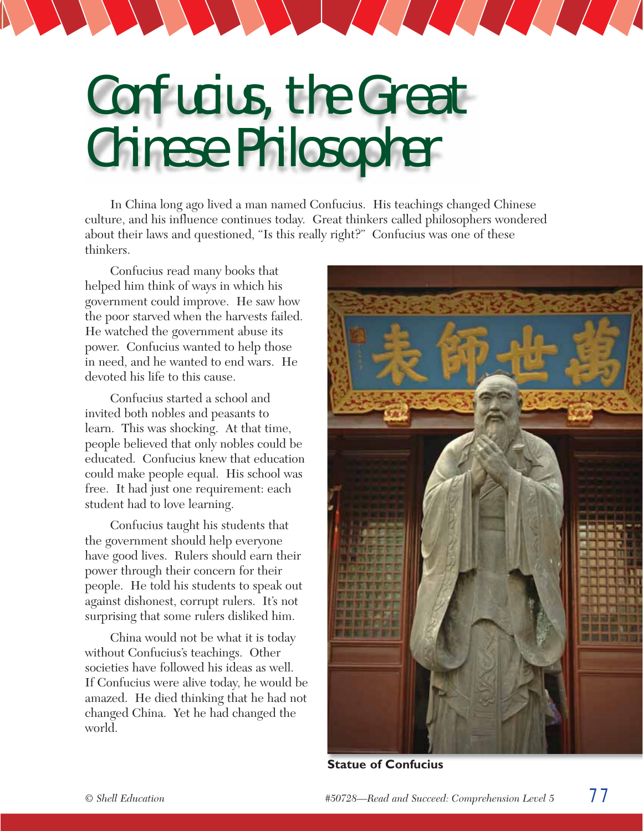# Confucius, the Great Chinese Philosopher

In China long ago lived a man named Confucius. His teachings changed Chinese culture, and his influence continues today. Great thinkers called philosophers wondered about their laws and questioned, "Is this really right?" Confucius was one of these thinkers.

Confucius read many books that helped him think of ways in which his government could improve. He saw how the poor starved when the harvests failed. He watched the government abuse its power. Confucius wanted to help those in need, and he wanted to end wars. He devoted his life to this cause.

Confucius started a school and invited both nobles and peasants to learn. This was shocking. At that time, people believed that only nobles could be educated. Confucius knew that education could make people equal. His school was free. It had just one requirement: each student had to love learning.

Confucius taught his students that the government should help everyone have good lives. Rulers should earn their power through their concern for their people. He told his students to speak out against dishonest, corrupt rulers. It's not surprising that some rulers disliked him.

China would not be what it is today without Confucius's teachings. Other societies have followed his ideas as well. If Confucius were alive today, he would be amazed. He died thinking that he had not changed China. Yet he had changed the world.



**Statue of Confucius**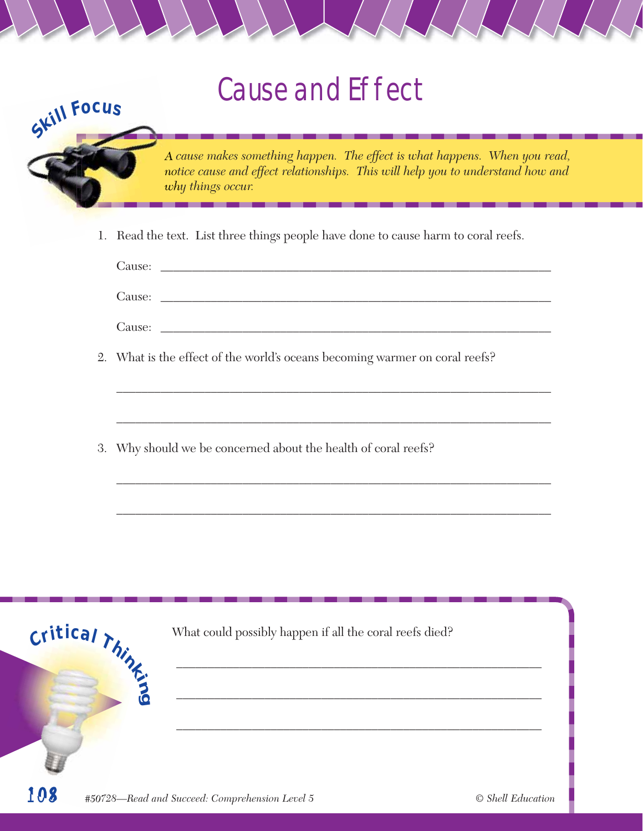# **Cause and Effect**

Skil<sup>l</sup> <sup>F</sup>ocu<sup>s</sup>

*A cause makes something happen. The effect is what happens. When you read, notice cause and effect relationships. This will help you to understand how and why things occur.*

1. Read the text. List three things people have done to cause harm to coral reefs.

Cause: Cause: \_\_\_\_\_\_\_\_\_\_\_\_\_\_\_\_\_\_\_\_\_\_\_\_\_\_\_\_\_\_\_\_\_\_\_\_\_\_\_\_\_\_\_\_\_\_\_\_\_\_\_\_\_\_\_\_\_\_\_\_\_\_ Cause:

2. What is the effect of the world's oceans becoming warmer on coral reefs?

 $\mathcal{L} = \{ \mathcal{L} = \{ \mathcal{L} \} \cup \{ \mathcal{L} \} \cup \{ \mathcal{L} \} \cup \{ \mathcal{L} \} \cup \{ \mathcal{L} \} \cup \{ \mathcal{L} \} \cup \{ \mathcal{L} \} \cup \{ \mathcal{L} \} \cup \{ \mathcal{L} \} \cup \{ \mathcal{L} \} \cup \{ \mathcal{L} \} \cup \{ \mathcal{L} \} \cup \{ \mathcal{L} \} \cup \{ \mathcal{L} \} \cup \{ \mathcal{L} \} \cup \{ \mathcal{L} \} \cup \{ \mathcal{L} \} \cup$ 

 $\mathcal{L} = \{ \mathcal{L} = \{ \mathcal{L} \mid \mathcal{L} = \{ \mathcal{L} \mid \mathcal{L} = \{ \mathcal{L} \mid \mathcal{L} = \{ \mathcal{L} \mid \mathcal{L} = \{ \mathcal{L} \mid \mathcal{L} = \{ \mathcal{L} \mid \mathcal{L} = \{ \mathcal{L} \mid \mathcal{L} = \{ \mathcal{L} \mid \mathcal{L} = \{ \mathcal{L} \mid \mathcal{L} = \{ \mathcal{L} \mid \mathcal{L} = \{ \mathcal{L} \mid \mathcal{L} = \{ \mathcal{L} \mid \mathcal{L} =$ 

 $\mathcal{L} = \{ \mathcal{L} = \{ \mathcal{L} \} \cup \{ \mathcal{L} \} \cup \{ \mathcal{L} \} \cup \{ \mathcal{L} \} \cup \{ \mathcal{L} \} \cup \{ \mathcal{L} \} \cup \{ \mathcal{L} \} \cup \{ \mathcal{L} \} \cup \{ \mathcal{L} \} \cup \{ \mathcal{L} \} \cup \{ \mathcal{L} \} \cup \{ \mathcal{L} \} \cup \{ \mathcal{L} \} \cup \{ \mathcal{L} \} \cup \{ \mathcal{L} \} \cup \{ \mathcal{L} \} \cup \{ \mathcal{L} \} \cup$ 

 $\mathcal{L} = \{ \mathcal{L} = \{ \mathcal{L} \mid \mathcal{L} = \{ \mathcal{L} \mid \mathcal{L} = \{ \mathcal{L} \mid \mathcal{L} = \{ \mathcal{L} \mid \mathcal{L} = \{ \mathcal{L} \mid \mathcal{L} = \{ \mathcal{L} \mid \mathcal{L} = \{ \mathcal{L} \mid \mathcal{L} = \{ \mathcal{L} \mid \mathcal{L} = \{ \mathcal{L} \mid \mathcal{L} = \{ \mathcal{L} \mid \mathcal{L} = \{ \mathcal{L} \mid \mathcal{L} = \{ \mathcal{L} \mid \mathcal{L} =$ 

3. Why should we be concerned about the health of coral reefs?